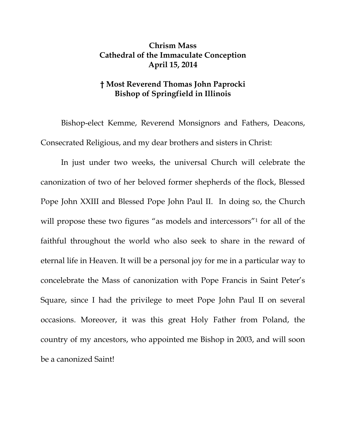## **Chrism Mass Cathedral of the Immaculate Conception April 15, 2014**

## **† Most Reverend Thomas John Paprocki Bishop of Springfield in Illinois**

Bishop-elect Kemme, Reverend Monsignors and Fathers, Deacons, Consecrated Religious, and my dear brothers and sisters in Christ:

 In just under two weeks, the universal Church will celebrate the canonization of two of her beloved former shepherds of the flock, Blessed Pope John XXIII and Blessed Pope John Paul II. In doing so, the Church will propose these two figures "as models and intercessors"<sup>1</sup> for all of the faithful throughout the world who also seek to share in the reward of eternal life in Heaven. It will be a personal joy for me in a particular way to concelebrate the Mass of canonization with Pope Francis in Saint Peter's Square, since I had the privilege to meet Pope John Paul II on several occasions. Moreover, it was this great Holy Father from Poland, the country of my ancestors, who appointed me Bishop in 2003, and will soon be a canonized Saint!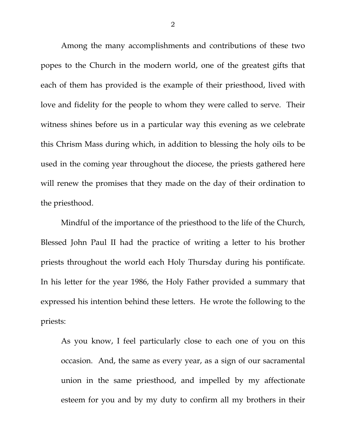Among the many accomplishments and contributions of these two popes to the Church in the modern world, one of the greatest gifts that each of them has provided is the example of their priesthood, lived with love and fidelity for the people to whom they were called to serve. Their witness shines before us in a particular way this evening as we celebrate this Chrism Mass during which, in addition to blessing the holy oils to be used in the coming year throughout the diocese, the priests gathered here will renew the promises that they made on the day of their ordination to the priesthood.

 Mindful of the importance of the priesthood to the life of the Church, Blessed John Paul II had the practice of writing a letter to his brother priests throughout the world each Holy Thursday during his pontificate. In his letter for the year 1986, the Holy Father provided a summary that expressed his intention behind these letters. He wrote the following to the priests:

As you know, I feel particularly close to each one of you on this occasion. And, the same as every year, as a sign of our sacramental union in the same priesthood, and impelled by my affectionate esteem for you and by my duty to confirm all my brothers in their

2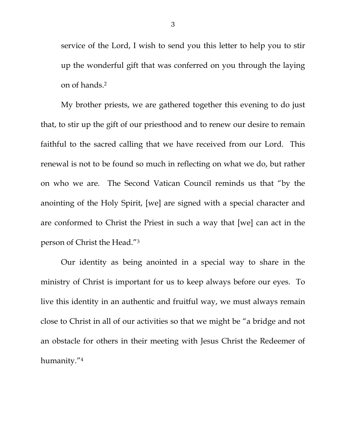service of the Lord, I wish to send you this letter to help you to stir up the wonderful gift that was conferred on you through the laying on of hands.2

 My brother priests, we are gathered together this evening to do just that, to stir up the gift of our priesthood and to renew our desire to remain faithful to the sacred calling that we have received from our Lord. This renewal is not to be found so much in reflecting on what we do, but rather on who we are. The Second Vatican Council reminds us that "by the anointing of the Holy Spirit, [we] are signed with a special character and are conformed to Christ the Priest in such a way that [we] can act in the person of Christ the Head."3

 Our identity as being anointed in a special way to share in the ministry of Christ is important for us to keep always before our eyes. To live this identity in an authentic and fruitful way, we must always remain close to Christ in all of our activities so that we might be "a bridge and not an obstacle for others in their meeting with Jesus Christ the Redeemer of humanity."4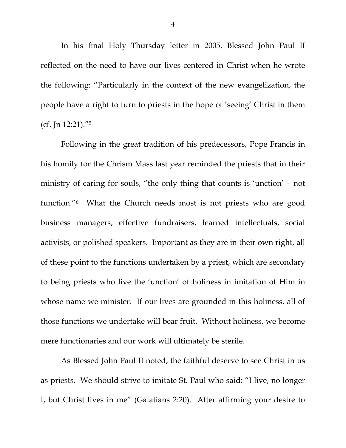In his final Holy Thursday letter in 2005, Blessed John Paul II reflected on the need to have our lives centered in Christ when he wrote the following: "Particularly in the context of the new evangelization, the people have a right to turn to priests in the hope of 'seeing' Christ in them (cf. Jn 12:21)."5

 Following in the great tradition of his predecessors, Pope Francis in his homily for the Chrism Mass last year reminded the priests that in their ministry of caring for souls, "the only thing that counts is 'unction' – not function."6 What the Church needs most is not priests who are good business managers, effective fundraisers, learned intellectuals, social activists, or polished speakers. Important as they are in their own right, all of these point to the functions undertaken by a priest, which are secondary to being priests who live the 'unction' of holiness in imitation of Him in whose name we minister. If our lives are grounded in this holiness, all of those functions we undertake will bear fruit. Without holiness, we become mere functionaries and our work will ultimately be sterile.

 As Blessed John Paul II noted, the faithful deserve to see Christ in us as priests. We should strive to imitate St. Paul who said: "I live, no longer I, but Christ lives in me" (Galatians 2:20). After affirming your desire to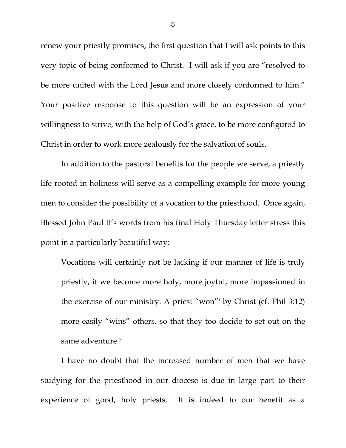renew your priestly promises, the first question that I will ask points to this very topic of being conformed to Christ. I will ask if you are "resolved to be more united with the Lord Jesus and more closely conformed to him." Your positive response to this question will be an expression of your willingness to strive, with the help of God's grace, to be more configured to Christ in order to work more zealously for the salvation of souls.

 In addition to the pastoral benefits for the people we serve, a priestly life rooted in holiness will serve as a compelling example for more young men to consider the possibility of a vocation to the priesthood. Once again, Blessed John Paul II's words from his final Holy Thursday letter stress this point in a particularly beautiful way:

Vocations will certainly not be lacking if our manner of life is truly priestly, if we become more holy, more joyful, more impassioned in the exercise of our ministry. A priest "won"' by Christ (cf. Phil 3:12) more easily "wins" others, so that they too decide to set out on the same adventure.7

I have no doubt that the increased number of men that we have studying for the priesthood in our diocese is due in large part to their experience of good, holy priests. It is indeed to our benefit as a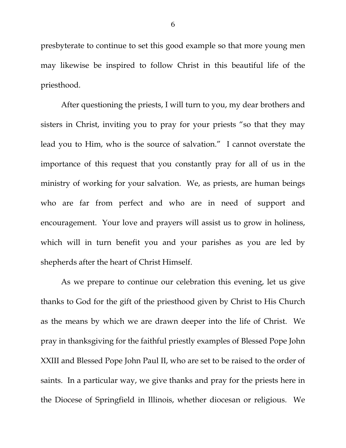presbyterate to continue to set this good example so that more young men may likewise be inspired to follow Christ in this beautiful life of the priesthood.

 After questioning the priests, I will turn to you, my dear brothers and sisters in Christ, inviting you to pray for your priests "so that they may lead you to Him, who is the source of salvation." I cannot overstate the importance of this request that you constantly pray for all of us in the ministry of working for your salvation. We, as priests, are human beings who are far from perfect and who are in need of support and encouragement. Your love and prayers will assist us to grow in holiness, which will in turn benefit you and your parishes as you are led by shepherds after the heart of Christ Himself.

 As we prepare to continue our celebration this evening, let us give thanks to God for the gift of the priesthood given by Christ to His Church as the means by which we are drawn deeper into the life of Christ. We pray in thanksgiving for the faithful priestly examples of Blessed Pope John XXIII and Blessed Pope John Paul II, who are set to be raised to the order of saints. In a particular way, we give thanks and pray for the priests here in the Diocese of Springfield in Illinois, whether diocesan or religious. We